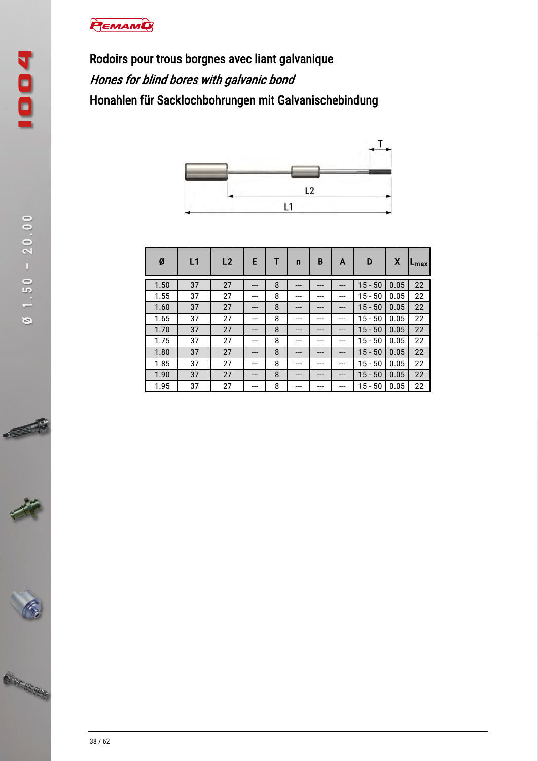## PEMAMO

Rodoirs pour trous borgnes avec liant galvanique Hones for blind bores with galvanic bond Honahlen für Sacklochbohrungen mit Galvanischebindung



| Ø    | L1 | L2 | E   |   | n   | B   | A     | D            | X    | $L_{\rm max}$ |
|------|----|----|-----|---|-----|-----|-------|--------------|------|---------------|
| 1.50 | 37 | 27 | --- | 8 | --- | --- | ---   | $15 - 50$    | 0.05 | 22            |
| 1.55 | 37 | 27 | --- | 8 | --- | --- | ---   | 15<br>- 50   | 0.05 | 22            |
| 1.60 | 37 | 27 | --- | 8 | --- | --- | $---$ | $15 - 50$    | 0.05 | 22            |
| 1.65 | 37 | 27 | --- | 8 | --- | --- | ---   | 50<br>$15 -$ | 0.05 | 22            |
| 1.70 | 37 | 27 | --- | 8 | --- | --- | ---   | $15 - 50$    | 0.05 | 22            |
| 1.75 | 37 | 27 | --- | 8 | --- | --- | ---   | $15 - 50$    | 0.05 | 22            |
| 1.80 | 37 | 27 | --- | 8 | --- | --- | ---   | $15 -$<br>50 | 0.05 | 22            |
| 1.85 | 37 | 27 |     | 8 |     | --- |       | $15 -$<br>50 | 0.05 | 22            |
| 1.90 | 37 | 27 | --- | 8 | --- | --- | ---   | $15 - 50$    | 0.05 | 22            |
| 1.95 | 37 | 27 |     | 8 | --- |     | ---   | $15 - 50$    | 0.05 | 22            |



ST

Will Hampy